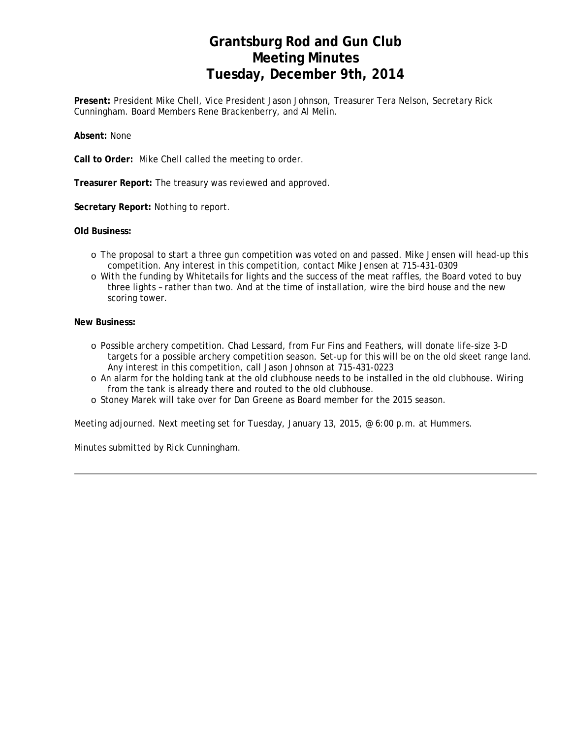# **Grantsburg Rod and Gun Club Meeting Minutes Tuesday, December 9th, 2014**

**Present:** President Mike Chell, Vice President Jason Johnson, Treasurer Tera Nelson, Secretary Rick Cunningham. Board Members Rene Brackenberry, and Al Melin.

**Absent:** None

**Call to Order:** Mike Chell called the meeting to order.

**Treasurer Report:** The treasury was reviewed and approved.

**Secretary Report:** Nothing to report.

**Old Business:** 

- o The proposal to start a three gun competition was voted on and passed. Mike Jensen will head-up this competition. Any interest in this competition, contact Mike Jensen at 715-431-0309
- o With the funding by Whitetails for lights and the success of the meat raffles, the Board voted to buy three lights – rather than two. And at the time of installation, wire the bird house and the new scoring tower.

#### **New Business:**

- o Possible archery competition. Chad Lessard, from Fur Fins and Feathers, will donate life-size 3-D targets for a possible archery competition season. Set-up for this will be on the old skeet range land. Any interest in this competition, call Jason Johnson at 715-431-0223
- o An alarm for the holding tank at the old clubhouse needs to be installed in the old clubhouse. Wiring from the tank is already there and routed to the old clubhouse.
- o Stoney Marek will take over for Dan Greene as Board member for the 2015 season.

Meeting adjourned. Next meeting set for Tuesday, January 13, 2015, @ 6:00 p.m. at Hummers.

Minutes submitted by Rick Cunningham.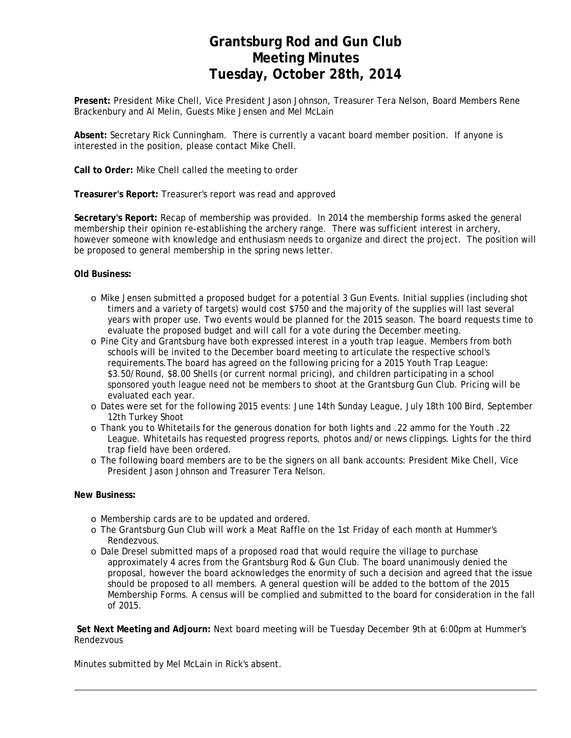# **Grantsburg Rod and Gun Club Meeting Minutes Tuesday, October 28th, 2014**

**Present:** President Mike Chell, Vice President Jason Johnson, Treasurer Tera Nelson, Board Members Rene Brackenbury and Al Melin, Guests Mike Jensen and Mel McLain

**Absent:** Secretary Rick Cunningham. There is currently a vacant board member position. If anyone is interested in the position, please contact Mike Chell.

**Call to Order:** Mike Chell called the meeting to order

**Treasurer's Report:** Treasurer's report was read and approved

**Secretary's Report:** Recap of membership was provided. In 2014 the membership forms asked the general membership their opinion re-establishing the archery range. There was sufficient interest in archery, however someone with knowledge and enthusiasm needs to organize and direct the project. The position will be proposed to general membership in the spring news letter.

#### **Old Business:**

- o Mike Jensen submitted a proposed budget for a potential 3 Gun Events. Initial supplies (including shot timers and a variety of targets) would cost \$750 and the majority of the supplies will last several years with proper use. Two events would be planned for the 2015 season. The board requests time to evaluate the proposed budget and will call for a vote during the December meeting.
- o Pine City and Grantsburg have both expressed interest in a youth trap league. Members from both schools will be invited to the December board meeting to articulate the respective school's requirements.The board has agreed on the following pricing for a 2015 Youth Trap League: \$3.50/Round, \$8.00 Shells (or current normal pricing), and children participating in a school sponsored youth league need not be members to shoot at the Grantsburg Gun Club. Pricing will be evaluated each year.
- o Dates were set for the following 2015 events: June 14th Sunday League, July 18th 100 Bird, September 12th Turkey Shoot
- o Thank you to Whitetails for the generous donation for both lights and .22 ammo for the Youth .22 League. Whitetails has requested progress reports, photos and/or news clippings. Lights for the third trap field have been ordered.
- o The following board members are to be the signers on all bank accounts: President Mike Chell, Vice President Jason Johnson and Treasurer Tera Nelson.

#### **New Business:**

- o Membership cards are to be updated and ordered.
- o The Grantsburg Gun Club will work a Meat Raffle on the 1st Friday of each month at Hummer's Rendezvous.
- o Dale Dresel submitted maps of a proposed road that would require the village to purchase approximately 4 acres from the Grantsburg Rod & Gun Club. The board unanimously denied the proposal, however the board acknowledges the enormity of such a decision and agreed that the issue should be proposed to all members. A general question will be added to the bottom of the 2015 Membership Forms. A census will be complied and submitted to the board for consideration in the fall of 2015.

**Set Next Meeting and Adjourn:** Next board meeting will be Tuesday December 9th at 6:00pm at Hummer's Rendezvous

Minutes submitted by Mel McLain in Rick's absent.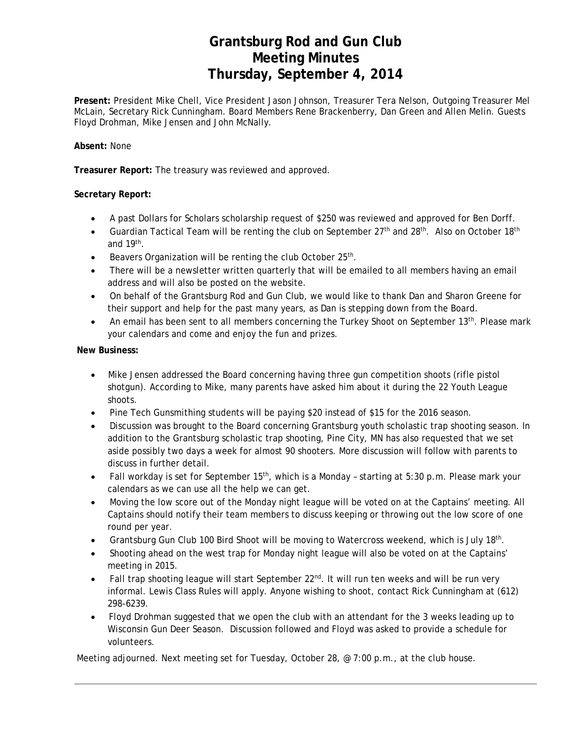# **Grantsburg Rod and Gun Club Meeting Minutes Thursday, September 4, 2014**

**Present:** President Mike Chell, Vice President Jason Johnson, Treasurer Tera Nelson, Outgoing Treasurer Mel McLain, Secretary Rick Cunningham. Board Members Rene Brackenberry, Dan Green and Allen Melin. Guests Floyd Drohman, Mike Jensen and John McNally.

### **Absent:** None

**Treasurer Report:** The treasury was reviewed and approved.

### **Secretary Report:**

- A past Dollars for Scholars scholarship request of \$250 was reviewed and approved for Ben Dorff.
- Guardian Tactical Team will be renting the club on September  $27<sup>th</sup>$  and  $28<sup>th</sup>$ . Also on October 18<sup>th</sup> and 19th.
- Beavers Organization will be renting the club October 25<sup>th</sup>.
- There will be a newsletter written quarterly that will be emailed to all members having an email address and will also be posted on the website.
- On behalf of the Grantsburg Rod and Gun Club, we would like to thank Dan and Sharon Greene for their support and help for the past many years, as Dan is stepping down from the Board.
- An email has been sent to all members concerning the Turkey Shoot on September 13<sup>th</sup>. Please mark your calendars and come and enjoy the fun and prizes.

### **New Business:**

- Mike Jensen addressed the Board concerning having three gun competition shoots (rifle pistol shotgun). According to Mike, many parents have asked him about it during the 22 Youth League shoots.
- Pine Tech Gunsmithing students will be paying \$20 instead of \$15 for the 2016 season.
- Discussion was brought to the Board concerning Grantsburg youth scholastic trap shooting season. In addition to the Grantsburg scholastic trap shooting, Pine City, MN has also requested that we set aside possibly two days a week for almost 90 shooters. More discussion will follow with parents to discuss in further detail.
- Fall workday is set for September 15<sup>th</sup>, which is a Monday starting at 5:30 p.m. Please mark your calendars as we can use all the help we can get.
- Moving the low score out of the Monday night league will be voted on at the Captains' meeting. All Captains should notify their team members to discuss keeping or throwing out the low score of one round per year.
- Grantsburg Gun Club 100 Bird Shoot will be moving to Watercross weekend, which is July 18th.
- Shooting ahead on the west trap for Monday night league will also be voted on at the Captains' meeting in 2015.
- Fall trap shooting league will start September 22<sup>nd</sup>. It will run ten weeks and will be run very informal. Lewis Class Rules will apply. Anyone wishing to shoot, contact Rick Cunningham at (612) 298-6239.
- Floyd Drohman suggested that we open the club with an attendant for the 3 weeks leading up to Wisconsin Gun Deer Season. Discussion followed and Floyd was asked to provide a schedule for volunteers.

Meeting adjourned. Next meeting set for Tuesday, October 28, @ 7:00 p.m., at the club house.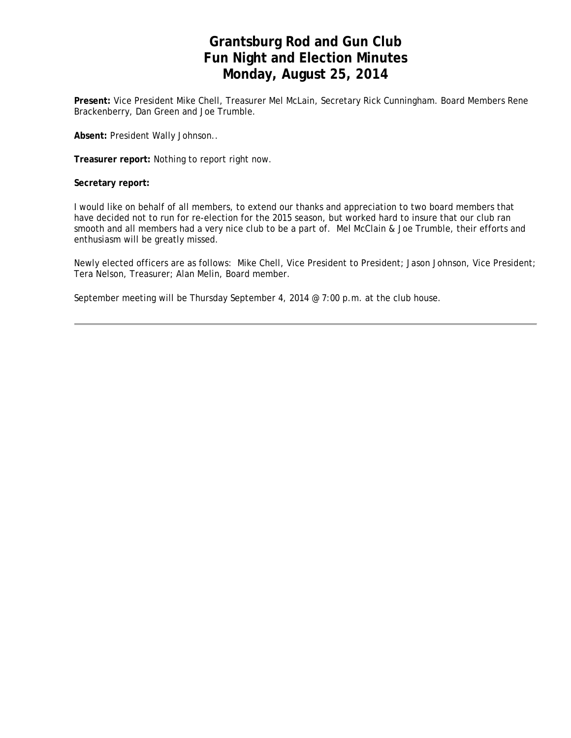# **Grantsburg Rod and Gun Club Fun Night and Election Minutes Monday, August 25, 2014**

**Present:** Vice President Mike Chell, Treasurer Mel McLain, Secretary Rick Cunningham. Board Members Rene Brackenberry, Dan Green and Joe Trumble.

**Absent:** President Wally Johnson..

**Treasurer report:** Nothing to report right now.

**Secretary report:** 

I would like on behalf of all members, to extend our thanks and appreciation to two board members that have decided not to run for re-election for the 2015 season, but worked hard to insure that our club ran smooth and all members had a very nice club to be a part of. Mel McClain & Joe Trumble, their efforts and enthusiasm will be greatly missed.

Newly elected officers are as follows: Mike Chell, Vice President to President; Jason Johnson, Vice President; Tera Nelson, Treasurer; Alan Melin, Board member.

September meeting will be Thursday September 4, 2014 @ 7:00 p.m. at the club house.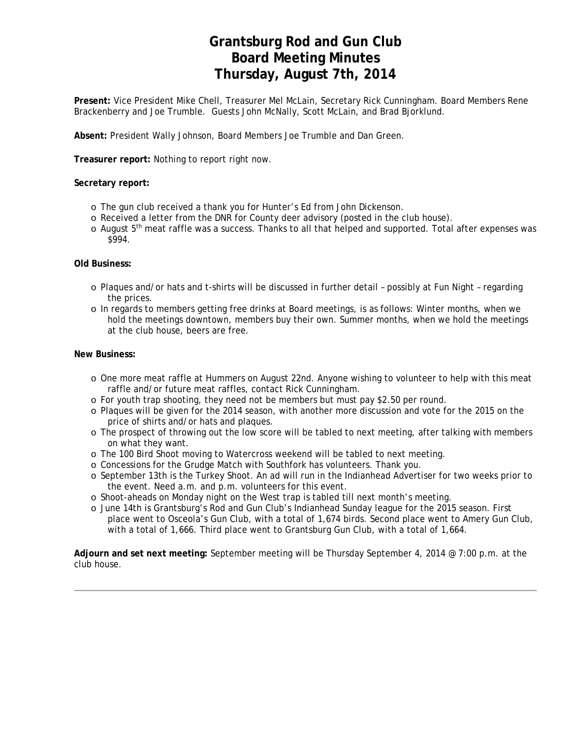# **Grantsburg Rod and Gun Club Board Meeting Minutes Thursday, August 7th, 2014**

**Present:** Vice President Mike Chell, Treasurer Mel McLain, Secretary Rick Cunningham. Board Members Rene Brackenberry and Joe Trumble. Guests John McNally, Scott McLain, and Brad Bjorklund.

**Absent:** President Wally Johnson, Board Members Joe Trumble and Dan Green.

**Treasurer report:** Nothing to report right now.

### **Secretary report:**

- o The gun club received a thank you for Hunter's Ed from John Dickenson.
- o Received a letter from the DNR for County deer advisory (posted in the club house).
- $\circ$  August  $5<sup>th</sup>$  meat raffle was a success. Thanks to all that helped and supported. Total after expenses was \$994.

### **Old Business:**

- o Plaques and/or hats and t-shirts will be discussed in further detail possibly at Fun Night regarding the prices.
- o In regards to members getting free drinks at Board meetings, is as follows: Winter months, when we hold the meetings downtown, members buy their own. Summer months, when we hold the meetings at the club house, beers are free.

### **New Business:**

- o One more meat raffle at Hummers on August 22nd. Anyone wishing to volunteer to help with this meat raffle and/or future meat raffles, contact Rick Cunningham.
- o For youth trap shooting, they need not be members but must pay \$2.50 per round.
- o Plaques will be given for the 2014 season, with another more discussion and vote for the 2015 on the price of shirts and/or hats and plaques.
- o The prospect of throwing out the low score will be tabled to next meeting, after talking with members on what they want.
- o The 100 Bird Shoot moving to Watercross weekend will be tabled to next meeting.
- o Concessions for the Grudge Match with Southfork has volunteers. Thank you.
- o September 13th is the Turkey Shoot. An ad will run in the Indianhead Advertiser for two weeks prior to the event. Need a.m. and p.m. volunteers for this event.
- o Shoot-aheads on Monday night on the West trap is tabled till next month's meeting.
- o June 14th is Grantsburg's Rod and Gun Club's Indianhead Sunday league for the 2015 season. First place went to Osceola's Gun Club, with a total of 1,674 birds. Second place went to Amery Gun Club, with a total of 1,666. Third place went to Grantsburg Gun Club, with a total of 1,664.

**Adjourn and set next meeting:** September meeting will be Thursday September 4, 2014 @ 7:00 p.m. at the club house.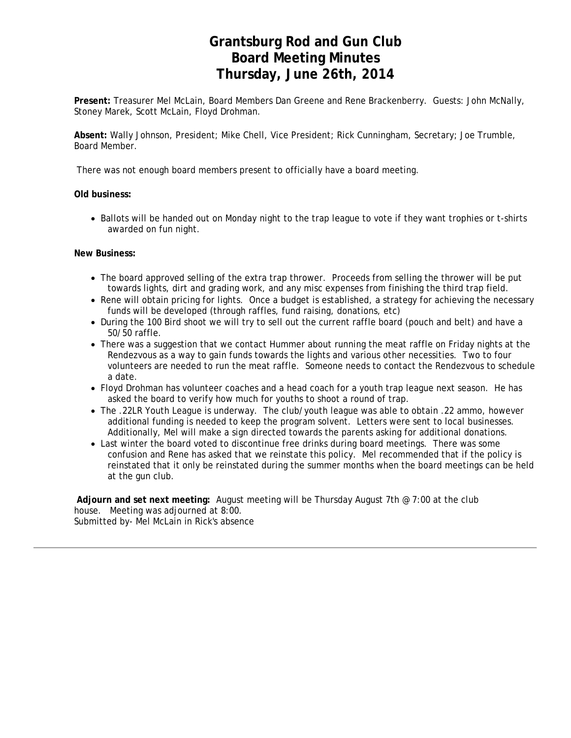# **Grantsburg Rod and Gun Club Board Meeting Minutes Thursday, June 26th, 2014**

**Present:** Treasurer Mel McLain, Board Members Dan Greene and Rene Brackenberry. Guests: John McNally, Stoney Marek, Scott McLain, Floyd Drohman.

**Absent:** Wally Johnson, President; Mike Chell, Vice President; Rick Cunningham, Secretary; Joe Trumble, Board Member.

There was not enough board members present to officially have a board meeting.

#### **Old business:**

• Ballots will be handed out on Monday night to the trap league to vote if they want trophies or t-shirts awarded on fun night.

#### **New Business:**

- The board approved selling of the extra trap thrower. Proceeds from selling the thrower will be put towards lights, dirt and grading work, and any misc expenses from finishing the third trap field.
- Rene will obtain pricing for lights. Once a budget is established, a strategy for achieving the necessary funds will be developed (through raffles, fund raising, donations, etc)
- During the 100 Bird shoot we will try to sell out the current raffle board (pouch and belt) and have a 50/50 raffle.
- There was a suggestion that we contact Hummer about running the meat raffle on Friday nights at the Rendezvous as a way to gain funds towards the lights and various other necessities. Two to four volunteers are needed to run the meat raffle. Someone needs to contact the Rendezvous to schedule a date.
- Floyd Drohman has volunteer coaches and a head coach for a youth trap league next season. He has asked the board to verify how much for youths to shoot a round of trap.
- The .22LR Youth League is underway. The club/youth league was able to obtain .22 ammo, however additional funding is needed to keep the program solvent. Letters were sent to local businesses. Additionally, Mel will make a sign directed towards the parents asking for additional donations.
- Last winter the board voted to discontinue free drinks during board meetings. There was some confusion and Rene has asked that we reinstate this policy. Mel recommended that if the policy is reinstated that it only be reinstated during the summer months when the board meetings can be held at the gun club.

 **Adjourn and set next meeting:** August meeting will be Thursday August 7th @ 7:00 at the club house. Meeting was adjourned at 8:00. Submitted by- Mel McLain in Rick's absence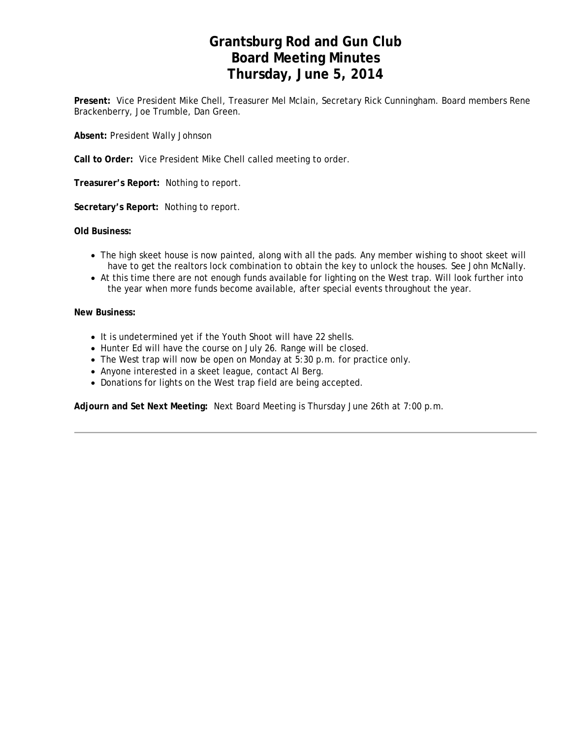# **Grantsburg Rod and Gun Club Board Meeting Minutes Thursday, June 5, 2014**

**Present:** Vice President Mike Chell, Treasurer Mel Mclain, Secretary Rick Cunningham. Board members Rene Brackenberry, Joe Trumble, Dan Green.

**Absent:** President Wally Johnson

**Call to Order:** Vice President Mike Chell called meeting to order.

**Treasurer's Report:** Nothing to report.

**Secretary's Report:** Nothing to report.

**Old Business:**

- The high skeet house is now painted, along with all the pads. Any member wishing to shoot skeet will have to get the realtors lock combination to obtain the key to unlock the houses. See John McNally.
- At this time there are not enough funds available for lighting on the West trap. Will look further into the year when more funds become available, after special events throughout the year.

#### **New Business:**

- It is undetermined yet if the Youth Shoot will have 22 shells.
- Hunter Ed will have the course on July 26. Range will be closed.
- The West trap will now be open on Monday at 5:30 p.m. for practice only.
- Anyone interested in a skeet league, contact Al Berg.
- Donations for lights on the West trap field are being accepted.

**Adjourn and Set Next Meeting:** Next Board Meeting is Thursday June 26th at 7:00 p.m.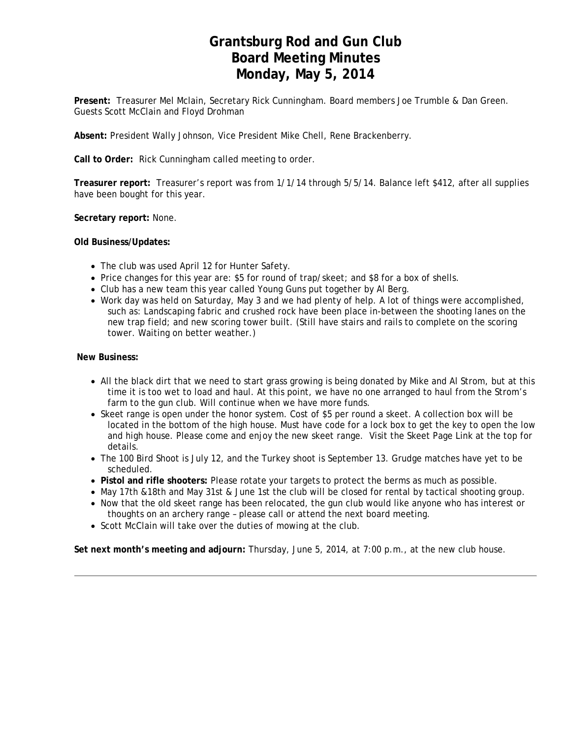## **Grantsburg Rod and Gun Club Board Meeting Minutes Monday, May 5, 2014**

**Present:** Treasurer Mel Mclain, Secretary Rick Cunningham. Board members Joe Trumble & Dan Green. Guests Scott McClain and Floyd Drohman

**Absent:** President Wally Johnson, Vice President Mike Chell, Rene Brackenberry.

**Call to Order:** Rick Cunningham called meeting to order.

**Treasurer report:** Treasurer's report was from 1/1/14 through 5/5/14. Balance left \$412, after all supplies have been bought for this year.

**Secretary report:** None.

**Old Business/Updates:** 

- The club was used April 12 for Hunter Safety.
- Price changes for this year are: \$5 for round of trap/skeet; and \$8 for a box of shells.
- Club has a new team this year called Young Guns put together by Al Berg.
- Work day was held on Saturday, May 3 and we had plenty of help. A lot of things were accomplished, such as: Landscaping fabric and crushed rock have been place in-between the shooting lanes on the new trap field; and new scoring tower built. (Still have stairs and rails to complete on the scoring tower. Waiting on better weather.)

**New Business:**

- All the black dirt that we need to start grass growing is being donated by Mike and Al Strom, but at this time it is too wet to load and haul. At this point, we have no one arranged to haul from the Strom's farm to the gun club. Will continue when we have more funds.
- Skeet range is open under the honor system. Cost of \$5 per round a skeet. A collection box will be located in the bottom of the high house. Must have code for a lock box to get the key to open the low and high house. Please come and enjoy the new skeet range. Visit the Skeet Page Link at the top for details.
- The 100 Bird Shoot is July 12, and the Turkey shoot is September 13. Grudge matches have yet to be scheduled.
- **Pistol and rifle shooters:** Please rotate your targets to protect the berms as much as possible.
- May 17th &18th and May 31st & June 1st the club will be closed for rental by tactical shooting group.
- Now that the old skeet range has been relocated, the gun club would like anyone who has interest or thoughts on an archery range – please call or attend the next board meeting.
- Scott McClain will take over the duties of mowing at the club.

**Set next month's meeting and adjourn:** Thursday, June 5, 2014, at 7:00 p.m., at the new club house.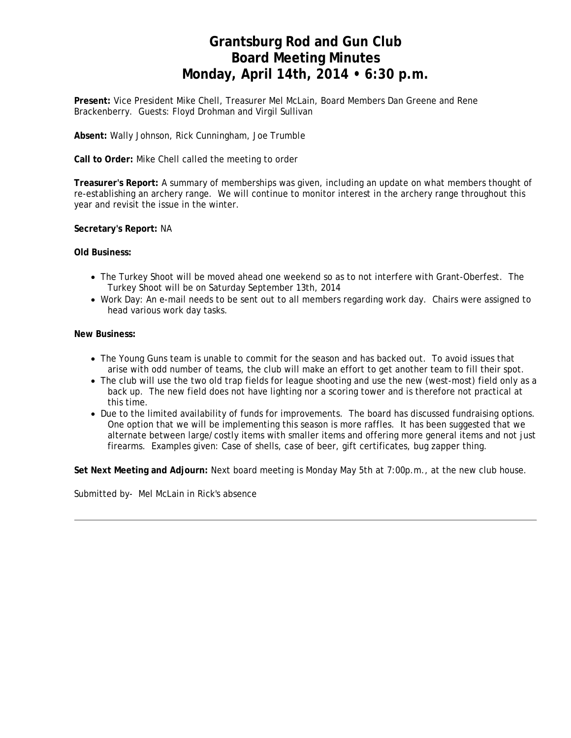# **Grantsburg Rod and Gun Club Board Meeting Minutes Monday, April 14th, 2014 • 6:30 p.m.**

**Present:** Vice President Mike Chell, Treasurer Mel McLain, Board Members Dan Greene and Rene Brackenberry. Guests: Floyd Drohman and Virgil Sullivan

**Absent:** Wally Johnson, Rick Cunningham, Joe Trumble

**Call to Order:** Mike Chell called the meeting to order

**Treasurer's Report:** A summary of memberships was given, including an update on what members thought of re-establishing an archery range. We will continue to monitor interest in the archery range throughout this year and revisit the issue in the winter.

**Secretary's Report:** NA

#### **Old Business:**

- The Turkey Shoot will be moved ahead one weekend so as to not interfere with Grant-Oberfest. The Turkey Shoot will be on Saturday September 13th, 2014
- Work Day: An e-mail needs to be sent out to all members regarding work day. Chairs were assigned to head various work day tasks.

#### **New Business:**

- The Young Guns team is unable to commit for the season and has backed out. To avoid issues that arise with odd number of teams, the club will make an effort to get another team to fill their spot.
- The club will use the two old trap fields for league shooting and use the new (west-most) field only as a back up. The new field does not have lighting nor a scoring tower and is therefore not practical at this time.
- Due to the limited availability of funds for improvements. The board has discussed fundraising options. One option that we will be implementing this season is more raffles. It has been suggested that we alternate between large/costly items with smaller items and offering more general items and not just firearms. Examples given: Case of shells, case of beer, gift certificates, bug zapper thing.

**Set Next Meeting and Adjourn:** Next board meeting is Monday May 5th at 7:00p.m., at the new club house.

Submitted by- Mel McLain in Rick's absence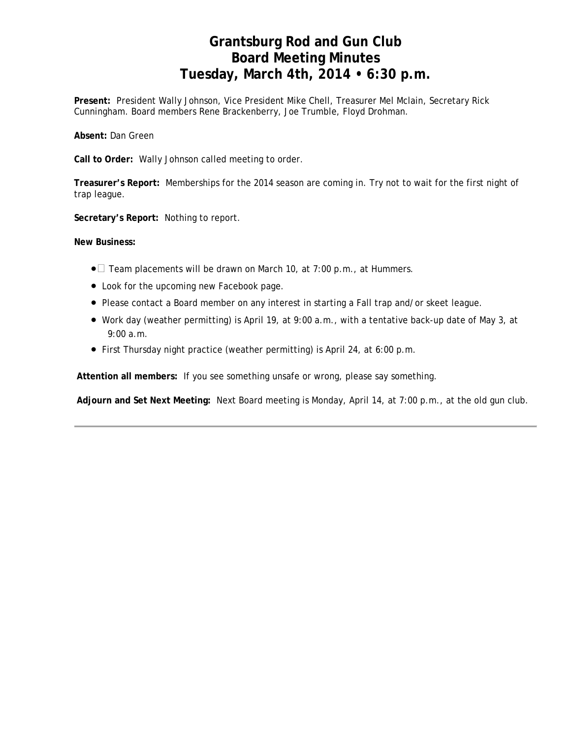# **Grantsburg Rod and Gun Club Board Meeting Minutes Tuesday, March 4th, 2014 • 6:30 p.m.**

**Present:** President Wally Johnson, Vice President Mike Chell, Treasurer Mel Mclain, Secretary Rick Cunningham. Board members Rene Brackenberry, Joe Trumble, Floyd Drohman.

**Absent:** Dan Green

**Call to Order:** Wally Johnson called meeting to order.

**Treasurer's Report:** Memberships for the 2014 season are coming in. Try not to wait for the first night of trap league.

**Secretary's Report:** Nothing to report.

**New Business:**

- $\bullet$  Team placements will be drawn on March 10, at 7:00 p.m., at Hummers.
- Look for the upcoming new Facebook page.
- Please contact a Board member on any interest in starting a Fall trap and/or skeet league.
- Work day (weather permitting) is April 19, at 9:00 a.m., with a tentative back-up date of May 3, at 9:00 a.m.
- First Thursday night practice (weather permitting) is April 24, at 6:00 p.m.

**Attention all members:** If you see something unsafe or wrong, please say something.

 **Adjourn and Set Next Meeting:** Next Board meeting is Monday, April 14, at 7:00 p.m., at the old gun club.